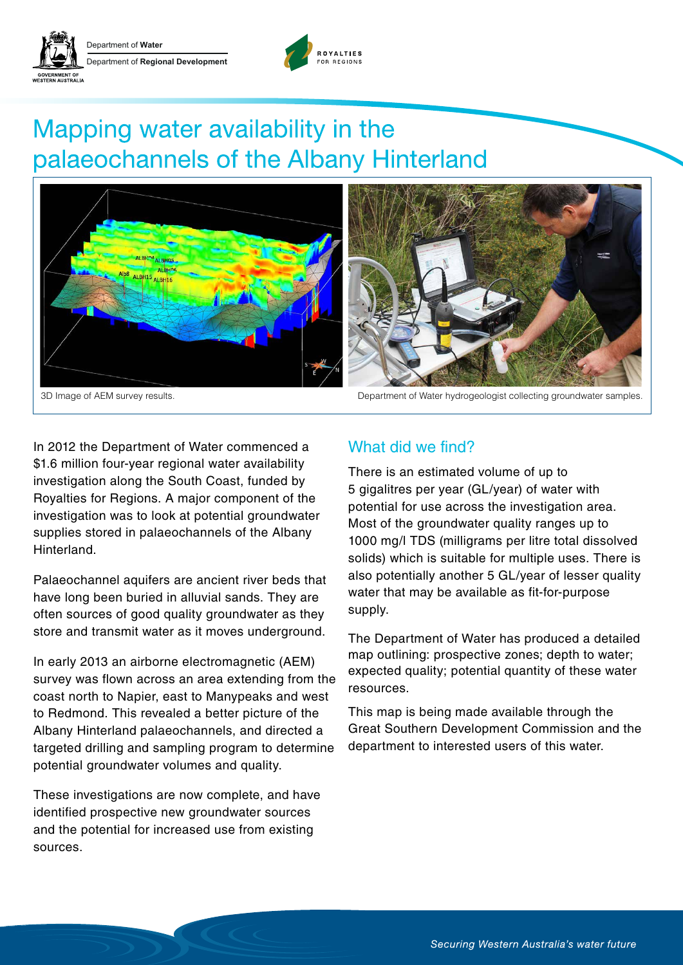



# Mapping water availability in the palaeochannels of the Albany Hinterland





In 2012 the Department of Water commenced a \$1.6 million four-year regional water availability investigation along the South Coast, funded by Royalties for Regions. A major component of the investigation was to look at potential groundwater supplies stored in palaeochannels of the Albany Hinterland.

Palaeochannel aquifers are ancient river beds that have long been buried in alluvial sands. They are often sources of good quality groundwater as they store and transmit water as it moves underground.

In early 2013 an airborne electromagnetic (AEM) survey was flown across an area extending from the coast north to Napier, east to Manypeaks and west to Redmond. This revealed a better picture of the Albany Hinterland palaeochannels, and directed a targeted drilling and sampling program to determine potential groundwater volumes and quality.

These investigations are now complete, and have identified prospective new groundwater sources and the potential for increased use from existing sources.

### What did we find?

There is an estimated volume of up to 5 gigalitres per year (GL/year) of water with potential for use across the investigation area. Most of the groundwater quality ranges up to 1000 mg/l TDS (milligrams per litre total dissolved solids) which is suitable for multiple uses. There is also potentially another 5 GL/year of lesser quality water that may be available as fit-for-purpose supply.

The Department of Water has produced a detailed map outlining: prospective zones; depth to water; expected quality; potential quantity of these water resources.

This map is being made available through the Great Southern Development Commission and the department to interested users of this water.